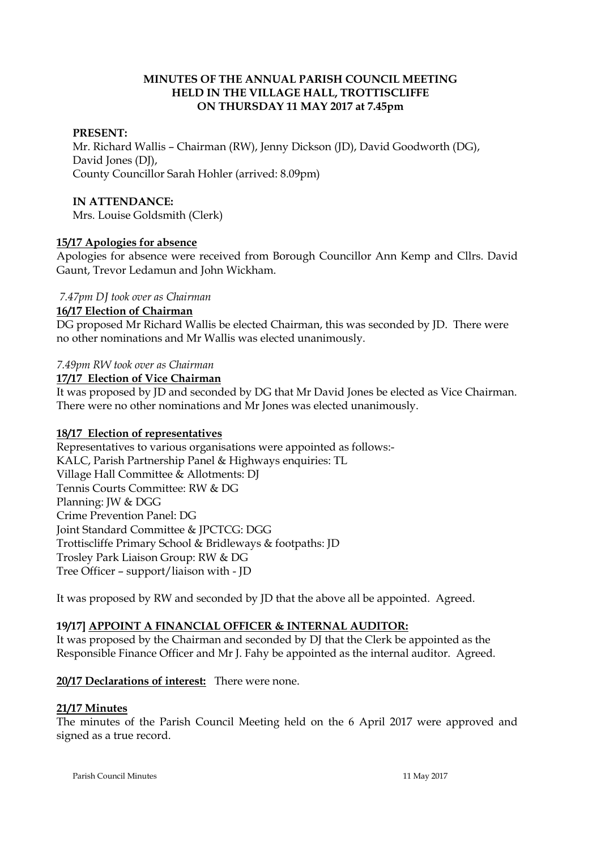### **MINUTES OF THE ANNUAL PARISH COUNCIL MEETING HELD IN THE VILLAGE HALL, TROTTISCLIFFE ON THURSDAY 11 MAY 2017 at 7.45pm**

## **PRESENT:**

Mr. Richard Wallis – Chairman (RW), Jenny Dickson (JD), David Goodworth (DG), David Jones (DJ), County Councillor Sarah Hohler (arrived: 8.09pm)

#### **IN ATTENDANCE:**

Mrs. Louise Goldsmith (Clerk)

## **15/17 Apologies for absence**

Apologies for absence were received from Borough Councillor Ann Kemp and Cllrs. David Gaunt, Trevor Ledamun and John Wickham.

### *7.47pm DJ took over as Chairman*

### **16/17 Election of Chairman**

DG proposed Mr Richard Wallis be elected Chairman, this was seconded by JD. There were no other nominations and Mr Wallis was elected unanimously.

### *7.49pm RW took over as Chairman*

#### **17/17 Election of Vice Chairman**

It was proposed by JD and seconded by DG that Mr David Jones be elected as Vice Chairman. There were no other nominations and Mr Jones was elected unanimously.

## **18/17 Election of representatives**

Representatives to various organisations were appointed as follows:- KALC, Parish Partnership Panel & Highways enquiries: TL Village Hall Committee & Allotments: DJ Tennis Courts Committee: RW & DG Planning: JW & DGG Crime Prevention Panel: DG Joint Standard Committee & JPCTCG: DGG Trottiscliffe Primary School & Bridleways & footpaths: JD Trosley Park Liaison Group: RW & DG Tree Officer – support/liaison with - JD

It was proposed by RW and seconded by JD that the above all be appointed. Agreed.

## **19/17] APPOINT A FINANCIAL OFFICER & INTERNAL AUDITOR:**

It was proposed by the Chairman and seconded by DJ that the Clerk be appointed as the Responsible Finance Officer and Mr J. Fahy be appointed as the internal auditor. Agreed.

## **20/17 Declarations of interest:** There were none.

## **21/17 Minutes**

The minutes of the Parish Council Meeting held on the 6 April 2017 were approved and signed as a true record.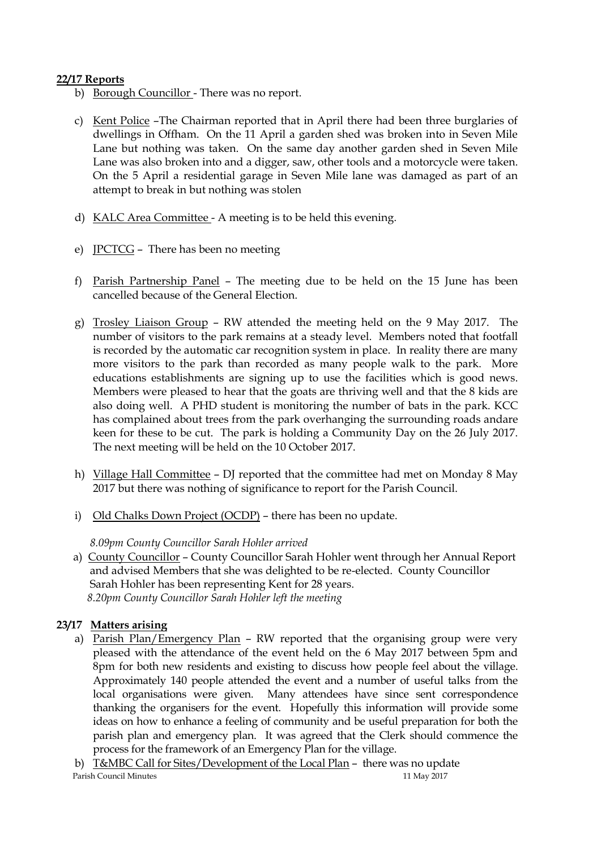## **22/17 Reports**

- b) Borough Councillor There was no report.
- c) Kent Police –The Chairman reported that in April there had been three burglaries of dwellings in Offham. On the 11 April a garden shed was broken into in Seven Mile Lane but nothing was taken. On the same day another garden shed in Seven Mile Lane was also broken into and a digger, saw, other tools and a motorcycle were taken. On the 5 April a residential garage in Seven Mile lane was damaged as part of an attempt to break in but nothing was stolen
- d) KALC Area Committee A meeting is to be held this evening.
- e) JPCTCG There has been no meeting
- f) Parish Partnership Panel The meeting due to be held on the 15 June has been cancelled because of the General Election.
- g) Trosley Liaison Group RW attended the meeting held on the 9 May 2017. The number of visitors to the park remains at a steady level. Members noted that footfall is recorded by the automatic car recognition system in place. In reality there are many more visitors to the park than recorded as many people walk to the park. More educations establishments are signing up to use the facilities which is good news. Members were pleased to hear that the goats are thriving well and that the 8 kids are also doing well. A PHD student is monitoring the number of bats in the park. KCC has complained about trees from the park overhanging the surrounding roads andare keen for these to be cut. The park is holding a Community Day on the 26 July 2017. The next meeting will be held on the 10 October 2017.
- h) Village Hall Committee DJ reported that the committee had met on Monday 8 May 2017 but there was nothing of significance to report for the Parish Council.
- i) Old Chalks Down Project (OCDP) there has been no update.

# *8.09pm County Councillor Sarah Hohler arrived*

 a) County Councillor – County Councillor Sarah Hohler went through her Annual Report and advised Members that she was delighted to be re-elected. County Councillor Sarah Hohler has been representing Kent for 28 years.  *8.20pm County Councillor Sarah Hohler left the meeting*

# **23/17 Matters arising**

- a) Parish Plan/Emergency Plan RW reported that the organising group were very pleased with the attendance of the event held on the 6 May 2017 between 5pm and 8pm for both new residents and existing to discuss how people feel about the village. Approximately 140 people attended the event and a number of useful talks from the local organisations were given. Many attendees have since sent correspondence thanking the organisers for the event. Hopefully this information will provide some ideas on how to enhance a feeling of community and be useful preparation for both the parish plan and emergency plan. It was agreed that the Clerk should commence the process for the framework of an Emergency Plan for the village.
- Parish Council Minutes 11 May 2017 b) T&MBC Call for Sites/Development of the Local Plan – there was no update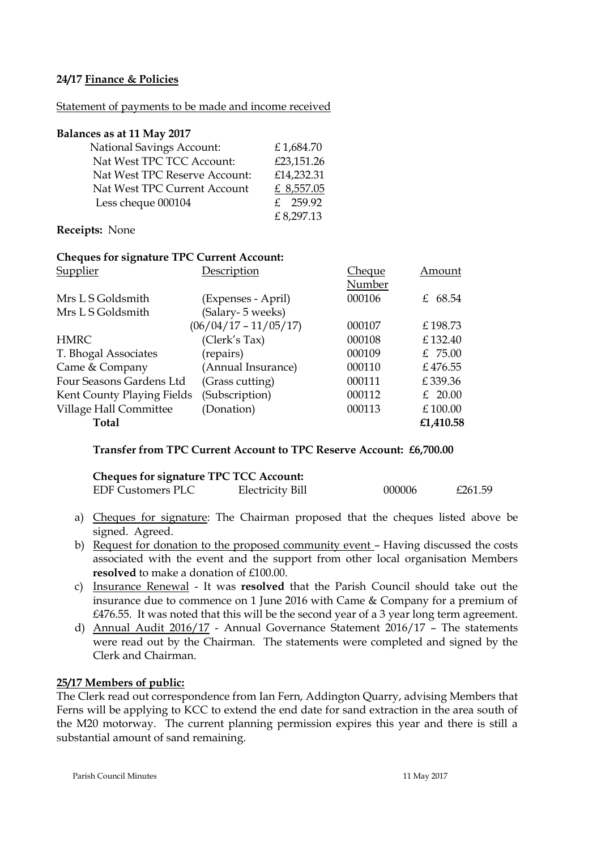## **24/17 Finance & Policies**

#### Statement of payments to be made and income received

#### **Balances as at 11 May 2017**

| <b>National Savings Account:</b> | £1,684.70  |
|----------------------------------|------------|
| Nat West TPC TCC Account:        | £23,151.26 |
| Nat West TPC Reserve Account:    | £14,232.31 |
| Nat West TPC Current Account     | £ 8,557.05 |
| Less cheque 000104               | £ 259.92   |
|                                  | £8,297.13  |
|                                  |            |

#### **Receipts:** None

#### **Cheques for signature TPC Current Account:**

| Supplier                   | Description             | <b>Cheque</b> | Amount    |
|----------------------------|-------------------------|---------------|-----------|
|                            |                         | Number        |           |
| Mrs L S Goldsmith          | (Expenses - April)      | 000106        | £ 68.54   |
| Mrs L S Goldsmith          | (Salary-5 weeks)        |               |           |
|                            | $(06/04/17 - 11/05/17)$ | 000107        | £198.73   |
| <b>HMRC</b>                | (Clerk's Tax)           | 000108        | £132.40   |
| T. Bhogal Associates       | (repairs)               | 000109        | £ $75.00$ |
| Came & Company             | (Annual Insurance)      | 000110        | £476.55   |
| Four Seasons Gardens Ltd   | (Grass cutting)         | 000111        | £339.36   |
| Kent County Playing Fields | (Subscription)          | 000112        | £ $20.00$ |
| Village Hall Committee     | (Donation)              | 000113        | £100.00   |
| <b>Total</b>               |                         |               | £1,410.58 |

#### **Transfer from TPC Current Account to TPC Reserve Account: £6,700.00**

| <b>Cheques for signature TPC TCC Account:</b> |                  |        |         |
|-----------------------------------------------|------------------|--------|---------|
| EDF Customers PLC                             | Electricity Bill | 000006 | £261.59 |

- a) Cheques for signature: The Chairman proposed that the cheques listed above be signed. Agreed.
- b) Request for donation to the proposed community event Having discussed the costs associated with the event and the support from other local organisation Members **resolved** to make a donation of £100.00.
- c) Insurance Renewal It was **resolved** that the Parish Council should take out the insurance due to commence on 1 June 2016 with Came & Company for a premium of £476.55. It was noted that this will be the second year of a 3 year long term agreement.
- d) Annual Audit 2016/17 Annual Governance Statement 2016/17 The statements were read out by the Chairman. The statements were completed and signed by the Clerk and Chairman.

## **25/17 Members of public:**

The Clerk read out correspondence from Ian Fern, Addington Quarry, advising Members that Ferns will be applying to KCC to extend the end date for sand extraction in the area south of the M20 motorway. The current planning permission expires this year and there is still a substantial amount of sand remaining.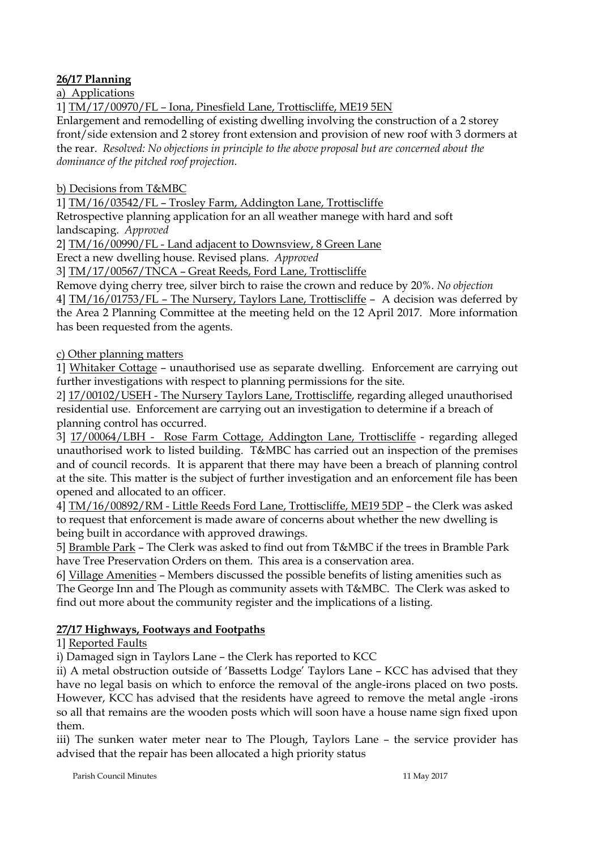# **26/17 Planning**

a) Applications

1] TM/17/00970/FL – Iona, Pinesfield Lane, Trottiscliffe, ME19 5EN

Enlargement and remodelling of existing dwelling involving the construction of a 2 storey front/side extension and 2 storey front extension and provision of new roof with 3 dormers at the rear. *Resolved: No objections in principle to the above proposal but are concerned about the dominance of the pitched roof projection.*

b) Decisions from T&MBC

1] TM/16/03542/FL – Trosley Farm, Addington Lane, Trottiscliffe

Retrospective planning application for an all weather manege with hard and soft landscaping. *Approved*

2] TM/16/00990/FL - Land adjacent to Downsview, 8 Green Lane

Erect a new dwelling house. Revised plans. *Approved*

3] TM/17/00567/TNCA – Great Reeds, Ford Lane, Trottiscliffe

Remove dying cherry tree, silver birch to raise the crown and reduce by 20%. *No objection*

4] TM/16/01753/FL – The Nursery, Taylors Lane, Trottiscliffe – A decision was deferred by the Area 2 Planning Committee at the meeting held on the 12 April 2017. More information has been requested from the agents.

c) Other planning matters

1] Whitaker Cottage – unauthorised use as separate dwelling. Enforcement are carrying out further investigations with respect to planning permissions for the site.

2] 17/00102/USEH - The Nursery Taylors Lane, Trottiscliffe, regarding alleged unauthorised residential use. Enforcement are carrying out an investigation to determine if a breach of planning control has occurred.

3] 17/00064/LBH - Rose Farm Cottage, Addington Lane, Trottiscliffe - regarding alleged unauthorised work to listed building. T&MBC has carried out an inspection of the premises and of council records. It is apparent that there may have been a breach of planning control at the site. This matter is the subject of further investigation and an enforcement file has been opened and allocated to an officer.

4] TM/16/00892/RM - Little Reeds Ford Lane, Trottiscliffe, ME19 5DP – the Clerk was asked to request that enforcement is made aware of concerns about whether the new dwelling is being built in accordance with approved drawings.

5] Bramble Park – The Clerk was asked to find out from T&MBC if the trees in Bramble Park have Tree Preservation Orders on them. This area is a conservation area.

6] Village Amenities – Members discussed the possible benefits of listing amenities such as The George Inn and The Plough as community assets with T&MBC. The Clerk was asked to find out more about the community register and the implications of a listing.

# **27/17 Highways, Footways and Footpaths**

1] Reported Faults

i) Damaged sign in Taylors Lane – the Clerk has reported to KCC

ii) A metal obstruction outside of 'Bassetts Lodge' Taylors Lane – KCC has advised that they have no legal basis on which to enforce the removal of the angle-irons placed on two posts. However, KCC has advised that the residents have agreed to remove the metal angle -irons so all that remains are the wooden posts which will soon have a house name sign fixed upon them.

iii) The sunken water meter near to The Plough, Taylors Lane – the service provider has advised that the repair has been allocated a high priority status

Parish Council Minutes 11 May 2017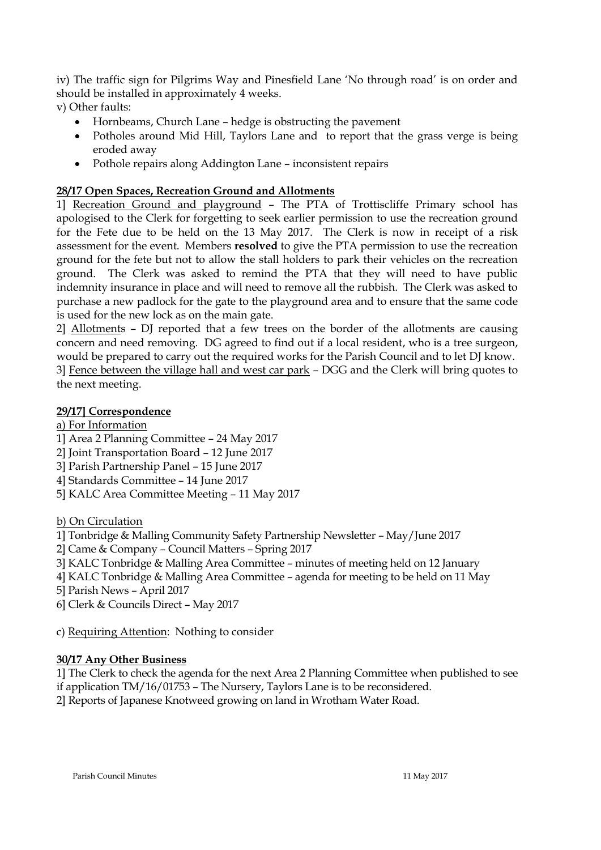iv) The traffic sign for Pilgrims Way and Pinesfield Lane 'No through road' is on order and should be installed in approximately 4 weeks.

v) Other faults:

- Hornbeams, Church Lane hedge is obstructing the pavement
- Potholes around Mid Hill, Taylors Lane and to report that the grass verge is being eroded away
- Pothole repairs along Addington Lane inconsistent repairs

# **28/17 Open Spaces, Recreation Ground and Allotments**

1] Recreation Ground and playground – The PTA of Trottiscliffe Primary school has apologised to the Clerk for forgetting to seek earlier permission to use the recreation ground for the Fete due to be held on the 13 May 2017. The Clerk is now in receipt of a risk assessment for the event. Members **resolved** to give the PTA permission to use the recreation ground for the fete but not to allow the stall holders to park their vehicles on the recreation ground. The Clerk was asked to remind the PTA that they will need to have public indemnity insurance in place and will need to remove all the rubbish. The Clerk was asked to purchase a new padlock for the gate to the playground area and to ensure that the same code is used for the new lock as on the main gate.

2] Allotments – DJ reported that a few trees on the border of the allotments are causing concern and need removing. DG agreed to find out if a local resident, who is a tree surgeon, would be prepared to carry out the required works for the Parish Council and to let DJ know. 3] Fence between the village hall and west car park – DGG and the Clerk will bring quotes to the next meeting.

# **29/17] Correspondence**

a) For Information

- 1] Area 2 Planning Committee 24 May 2017
- 2] Joint Transportation Board 12 June 2017
- 3] Parish Partnership Panel 15 June 2017
- 4] Standards Committee 14 June 2017
- 5] KALC Area Committee Meeting 11 May 2017

b) On Circulation

1] Tonbridge & Malling Community Safety Partnership Newsletter – May/June 2017

- 2] Came & Company Council Matters Spring 2017
- 3] KALC Tonbridge & Malling Area Committee minutes of meeting held on 12 January
- 4] KALC Tonbridge & Malling Area Committee agenda for meeting to be held on 11 May
- 5] Parish News April 2017
- 6] Clerk & Councils Direct May 2017

c) Requiring Attention: Nothing to consider

# **30/17 Any Other Business**

1] The Clerk to check the agenda for the next Area 2 Planning Committee when published to see if application TM/16/01753 – The Nursery, Taylors Lane is to be reconsidered.

2] Reports of Japanese Knotweed growing on land in Wrotham Water Road.